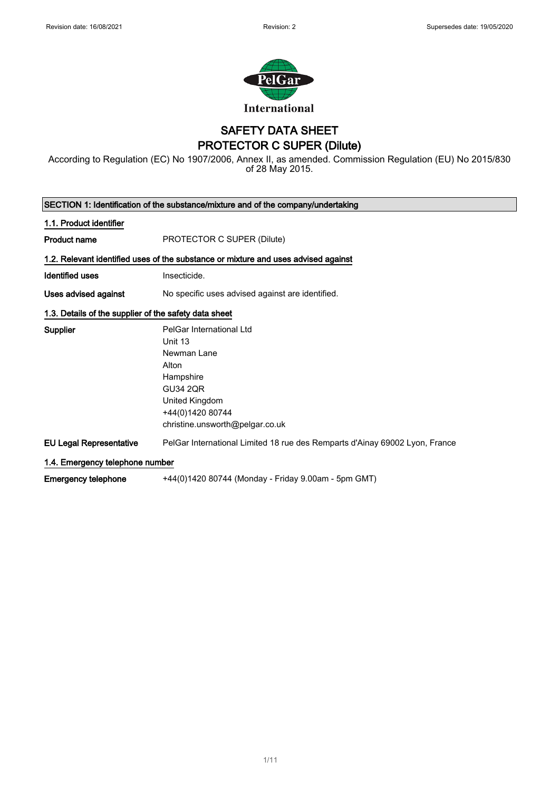

### SAFETY DATA SHEET PROTECTOR C SUPER (Dilute)

According to Regulation (EC) No 1907/2006, Annex II, as amended. Commission Regulation (EU) No 2015/830 of 28 May 2015.

| SECTION 1: Identification of the substance/mixture and of the company/undertaking |                                                                                                                                                                      |  |
|-----------------------------------------------------------------------------------|----------------------------------------------------------------------------------------------------------------------------------------------------------------------|--|
| 1.1. Product identifier                                                           |                                                                                                                                                                      |  |
| Product name                                                                      | PROTECTOR C SUPER (Dilute)                                                                                                                                           |  |
|                                                                                   | 1.2. Relevant identified uses of the substance or mixture and uses advised against                                                                                   |  |
| <b>Identified uses</b>                                                            | Insecticide.                                                                                                                                                         |  |
| Uses advised against                                                              | No specific uses advised against are identified.                                                                                                                     |  |
| 1.3. Details of the supplier of the safety data sheet                             |                                                                                                                                                                      |  |
| <b>Supplier</b>                                                                   | PelGar International Ltd<br>Unit 13<br>Newman Lane<br>Alton<br>Hampshire<br><b>GU34 2QR</b><br>United Kingdom<br>+44(0)1420 80744<br>christine.unsworth@pelgar.co.uk |  |
| <b>EU Legal Representative</b>                                                    | PelGar International Limited 18 rue des Remparts d'Ainay 69002 Lyon, France                                                                                          |  |
| 1.4. Emergency telephone number                                                   |                                                                                                                                                                      |  |
| <b>Emergency telephone</b>                                                        | +44(0)1420 80744 (Monday - Friday 9.00am - 5pm GMT)                                                                                                                  |  |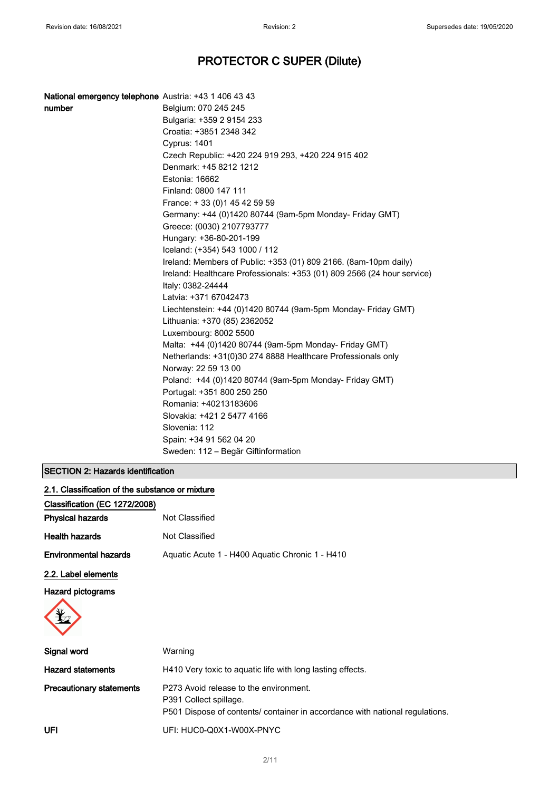| National emergency telephone Austria: +43 1 406 43 43 |                                                                         |
|-------------------------------------------------------|-------------------------------------------------------------------------|
| number                                                | Belgium: 070 245 245                                                    |
|                                                       | Bulgaria: +359 2 9154 233                                               |
|                                                       | Croatia: +3851 2348 342                                                 |
|                                                       | <b>Cyprus: 1401</b>                                                     |
|                                                       | Czech Republic: +420 224 919 293, +420 224 915 402                      |
|                                                       | Denmark: +45 8212 1212                                                  |
|                                                       | Estonia: 16662                                                          |
|                                                       | Finland: 0800 147 111                                                   |
|                                                       | France: +33 (0) 145 42 59 59                                            |
|                                                       | Germany: +44 (0)1420 80744 (9am-5pm Monday- Friday GMT)                 |
|                                                       | Greece: (0030) 2107793777                                               |
|                                                       | Hungary: +36-80-201-199                                                 |
|                                                       | Iceland: (+354) 543 1000 / 112                                          |
|                                                       | Ireland: Members of Public: +353 (01) 809 2166. (8am-10pm daily)        |
|                                                       | Ireland: Healthcare Professionals: +353 (01) 809 2566 (24 hour service) |
|                                                       | Italy: 0382-24444                                                       |
|                                                       | Latvia: +371 67042473                                                   |
|                                                       | Liechtenstein: +44 (0)1420 80744 (9am-5pm Monday- Friday GMT)           |
|                                                       | Lithuania: +370 (85) 2362052                                            |
|                                                       | Luxembourg: 8002 5500                                                   |
|                                                       | Malta: +44 (0)1420 80744 (9am-5pm Monday- Friday GMT)                   |
|                                                       | Netherlands: +31(0)30 274 8888 Healthcare Professionals only            |
|                                                       | Norway: 22 59 13 00                                                     |
|                                                       | Poland: +44 (0)1420 80744 (9am-5pm Monday- Friday GMT)                  |
|                                                       | Portugal: +351 800 250 250                                              |
|                                                       | Romania: +40213183606                                                   |
|                                                       | Slovakia: +421 2 5477 4166                                              |
|                                                       | Slovenia: 112                                                           |
|                                                       | Spain: +34 91 562 04 20                                                 |
|                                                       | Sweden: 112 - Begär Giftinformation                                     |

### SECTION 2: Hazards identification

2.1. Classification of the substance or mixture

| Classification (EC 1272/2008)   |                                                                                                                                                  |
|---------------------------------|--------------------------------------------------------------------------------------------------------------------------------------------------|
| <b>Physical hazards</b>         | Not Classified                                                                                                                                   |
| <b>Health hazards</b>           | Not Classified                                                                                                                                   |
| <b>Environmental hazards</b>    | Aquatic Acute 1 - H400 Aquatic Chronic 1 - H410                                                                                                  |
| 2.2. Label elements             |                                                                                                                                                  |
| <b>Hazard pictograms</b>        |                                                                                                                                                  |
| Signal word                     | Warning                                                                                                                                          |
| <b>Hazard statements</b>        | H410 Very toxic to aquatic life with long lasting effects.                                                                                       |
| <b>Precautionary statements</b> | P273 Avoid release to the environment.<br>P391 Collect spillage.<br>P501 Dispose of contents/ container in accordance with national regulations. |
| UFI                             | UFI: HUC0-Q0X1-W00X-PNYC                                                                                                                         |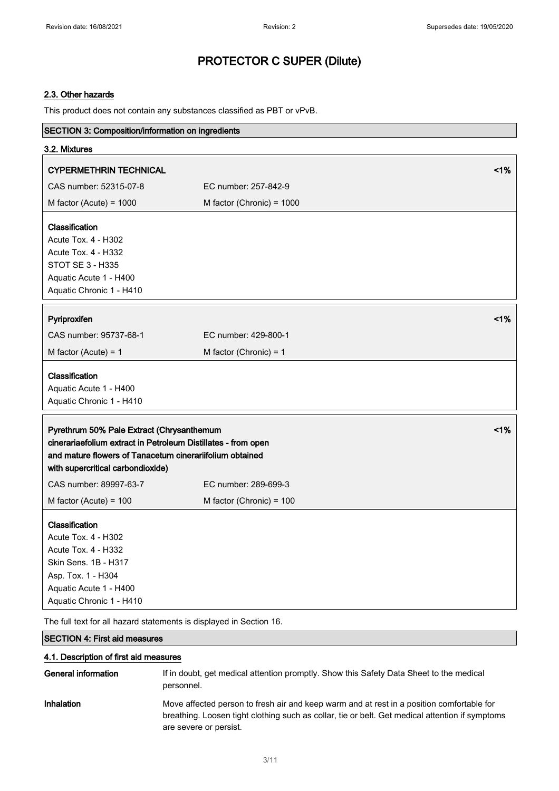### 2.3. Other hazards

This product does not contain any substances classified as PBT or vPvB.

| SECTION 3: Composition/information on ingredients                   |                           |    |
|---------------------------------------------------------------------|---------------------------|----|
| 3.2. Mixtures                                                       |                           |    |
| <b>CYPERMETHRIN TECHNICAL</b>                                       |                           | 1% |
| CAS number: 52315-07-8                                              | EC number: 257-842-9      |    |
| M factor (Acute) = $1000$                                           | M factor (Chronic) = 1000 |    |
|                                                                     |                           |    |
| Classification                                                      |                           |    |
| Acute Tox. 4 - H302                                                 |                           |    |
| Acute Tox. 4 - H332                                                 |                           |    |
| STOT SE 3 - H335                                                    |                           |    |
| Aquatic Acute 1 - H400                                              |                           |    |
| Aquatic Chronic 1 - H410                                            |                           |    |
| Pyriproxifen                                                        |                           | 1% |
| CAS number: 95737-68-1                                              | EC number: 429-800-1      |    |
| M factor (Acute) = $1$                                              | M factor (Chronic) = $1$  |    |
| Classification                                                      |                           |    |
| Aquatic Acute 1 - H400                                              |                           |    |
| Aquatic Chronic 1 - H410                                            |                           |    |
|                                                                     |                           |    |
| Pyrethrum 50% Pale Extract (Chrysanthemum                           |                           | 1% |
| cinerariaefolium extract in Petroleum Distillates - from open       |                           |    |
| and mature flowers of Tanacetum cinerariifolium obtained            |                           |    |
| with supercritical carbondioxide)                                   |                           |    |
| CAS number: 89997-63-7                                              | EC number: 289-699-3      |    |
| M factor (Acute) = $100$                                            | M factor (Chronic) = 100  |    |
| Classification                                                      |                           |    |
| Acute Tox. 4 - H302                                                 |                           |    |
| Acute Tox. 4 - H332                                                 |                           |    |
| Skin Sens. 1B - H317                                                |                           |    |
| Asp. Tox. 1 - H304                                                  |                           |    |
| Aquatic Acute 1 - H400                                              |                           |    |
| Aquatic Chronic 1 - H410                                            |                           |    |
| The full text for all hazard statements is displayed in Section 16. |                           |    |

SECTION 4: First aid measures

#### 4.1. Description of first aid measures

| General information | If in doubt, get medical attention promptly. Show this Safety Data Sheet to the medical<br>personnel.                                                                                                                  |
|---------------------|------------------------------------------------------------------------------------------------------------------------------------------------------------------------------------------------------------------------|
| <b>Inhalation</b>   | Move affected person to fresh air and keep warm and at rest in a position comfortable for<br>breathing. Loosen tight clothing such as collar, tie or belt. Get medical attention if symptoms<br>are severe or persist. |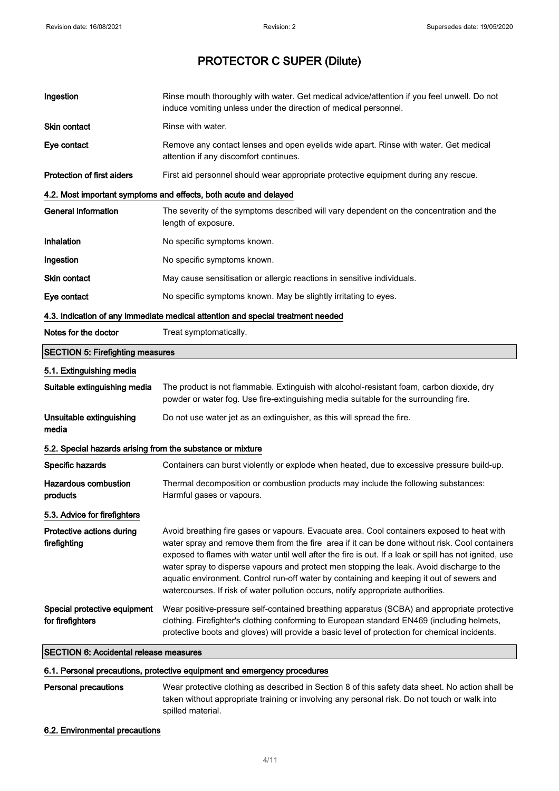| Ingestion                                                                       | Rinse mouth thoroughly with water. Get medical advice/attention if you feel unwell. Do not<br>induce vomiting unless under the direction of medical personnel.                                                                                                                                                                                                                                                                                                                                                                                                                       |  |
|---------------------------------------------------------------------------------|--------------------------------------------------------------------------------------------------------------------------------------------------------------------------------------------------------------------------------------------------------------------------------------------------------------------------------------------------------------------------------------------------------------------------------------------------------------------------------------------------------------------------------------------------------------------------------------|--|
| <b>Skin contact</b>                                                             | Rinse with water.                                                                                                                                                                                                                                                                                                                                                                                                                                                                                                                                                                    |  |
| Eye contact                                                                     | Remove any contact lenses and open eyelids wide apart. Rinse with water. Get medical<br>attention if any discomfort continues.                                                                                                                                                                                                                                                                                                                                                                                                                                                       |  |
| <b>Protection of first aiders</b>                                               | First aid personnel should wear appropriate protective equipment during any rescue.                                                                                                                                                                                                                                                                                                                                                                                                                                                                                                  |  |
|                                                                                 | 4.2. Most important symptoms and effects, both acute and delayed                                                                                                                                                                                                                                                                                                                                                                                                                                                                                                                     |  |
| <b>General information</b>                                                      | The severity of the symptoms described will vary dependent on the concentration and the<br>length of exposure.                                                                                                                                                                                                                                                                                                                                                                                                                                                                       |  |
| Inhalation                                                                      | No specific symptoms known.                                                                                                                                                                                                                                                                                                                                                                                                                                                                                                                                                          |  |
| Ingestion                                                                       | No specific symptoms known.                                                                                                                                                                                                                                                                                                                                                                                                                                                                                                                                                          |  |
| <b>Skin contact</b>                                                             | May cause sensitisation or allergic reactions in sensitive individuals.                                                                                                                                                                                                                                                                                                                                                                                                                                                                                                              |  |
| Eye contact                                                                     | No specific symptoms known. May be slightly irritating to eyes.                                                                                                                                                                                                                                                                                                                                                                                                                                                                                                                      |  |
| 4.3. Indication of any immediate medical attention and special treatment needed |                                                                                                                                                                                                                                                                                                                                                                                                                                                                                                                                                                                      |  |
| Notes for the doctor                                                            | Treat symptomatically.                                                                                                                                                                                                                                                                                                                                                                                                                                                                                                                                                               |  |
| <b>SECTION 5: Firefighting measures</b>                                         |                                                                                                                                                                                                                                                                                                                                                                                                                                                                                                                                                                                      |  |
| 5.1. Extinguishing media                                                        |                                                                                                                                                                                                                                                                                                                                                                                                                                                                                                                                                                                      |  |
| Suitable extinguishing media                                                    | The product is not flammable. Extinguish with alcohol-resistant foam, carbon dioxide, dry<br>powder or water fog. Use fire-extinguishing media suitable for the surrounding fire.                                                                                                                                                                                                                                                                                                                                                                                                    |  |
| Unsuitable extinguishing<br>media                                               | Do not use water jet as an extinguisher, as this will spread the fire.                                                                                                                                                                                                                                                                                                                                                                                                                                                                                                               |  |
| 5.2. Special hazards arising from the substance or mixture                      |                                                                                                                                                                                                                                                                                                                                                                                                                                                                                                                                                                                      |  |
| Specific hazards                                                                | Containers can burst violently or explode when heated, due to excessive pressure build-up.                                                                                                                                                                                                                                                                                                                                                                                                                                                                                           |  |
| <b>Hazardous combustion</b><br>products                                         | Thermal decomposition or combustion products may include the following substances:<br>Harmful gases or vapours.                                                                                                                                                                                                                                                                                                                                                                                                                                                                      |  |
| 5.3. Advice for firefighters                                                    |                                                                                                                                                                                                                                                                                                                                                                                                                                                                                                                                                                                      |  |
| Protective actions during<br>firefighting                                       | Avoid breathing fire gases or vapours. Evacuate area. Cool containers exposed to heat with<br>water spray and remove them from the fire area if it can be done without risk. Cool containers<br>exposed to flames with water until well after the fire is out. If a leak or spill has not ignited, use<br>water spray to disperse vapours and protect men stopping the leak. Avoid discharge to the<br>aquatic environment. Control run-off water by containing and keeping it out of sewers and<br>watercourses. If risk of water pollution occurs, notify appropriate authorities. |  |
| Special protective equipment<br>for firefighters                                | Wear positive-pressure self-contained breathing apparatus (SCBA) and appropriate protective<br>clothing. Firefighter's clothing conforming to European standard EN469 (including helmets,<br>protective boots and gloves) will provide a basic level of protection for chemical incidents.                                                                                                                                                                                                                                                                                           |  |
| <b>SECTION 6: Accidental release measures</b>                                   |                                                                                                                                                                                                                                                                                                                                                                                                                                                                                                                                                                                      |  |

#### 6.1. Personal precautions, protective equipment and emergency procedures

Personal precautions Wear protective clothing as described in Section 8 of this safety data sheet. No action shall be taken without appropriate training or involving any personal risk. Do not touch or walk into spilled material.

#### 6.2. Environmental precautions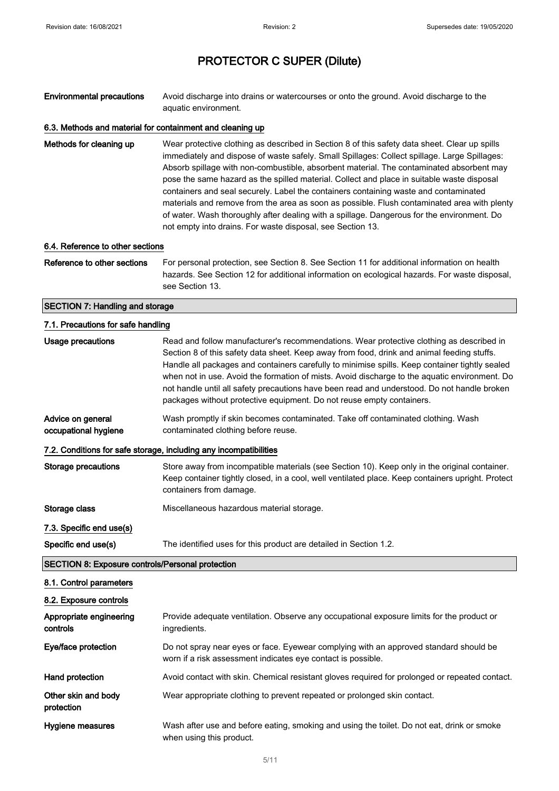Environmental precautions Avoid discharge into drains or watercourses or onto the ground. Avoid discharge to the aquatic environment.

### 6.3. Methods and material for containment and cleaning up

Methods for cleaning up Wear protective clothing as described in Section 8 of this safety data sheet. Clear up spills immediately and dispose of waste safely. Small Spillages: Collect spillage. Large Spillages: Absorb spillage with non-combustible, absorbent material. The contaminated absorbent may pose the same hazard as the spilled material. Collect and place in suitable waste disposal containers and seal securely. Label the containers containing waste and contaminated materials and remove from the area as soon as possible. Flush contaminated area with plenty of water. Wash thoroughly after dealing with a spillage. Dangerous for the environment. Do not empty into drains. For waste disposal, see Section 13.

#### 6.4. Reference to other sections

Reference to other sections For personal protection, see Section 8. See Section 11 for additional information on health hazards. See Section 12 for additional information on ecological hazards. For waste disposal, see Section 13.

#### SECTION 7: Handling and storage

#### 7.1. Precautions for safe handling

protection

| Usage precautions                                       | Read and follow manufacturer's recommendations. Wear protective clothing as described in<br>Section 8 of this safety data sheet. Keep away from food, drink and animal feeding stuffs.<br>Handle all packages and containers carefully to minimise spills. Keep container tightly sealed<br>when not in use. Avoid the formation of mists. Avoid discharge to the aquatic environment. Do<br>not handle until all safety precautions have been read and understood. Do not handle broken<br>packages without protective equipment. Do not reuse empty containers. |
|---------------------------------------------------------|-------------------------------------------------------------------------------------------------------------------------------------------------------------------------------------------------------------------------------------------------------------------------------------------------------------------------------------------------------------------------------------------------------------------------------------------------------------------------------------------------------------------------------------------------------------------|
| Advice on general<br>occupational hygiene               | Wash promptly if skin becomes contaminated. Take off contaminated clothing. Wash<br>contaminated clothing before reuse.                                                                                                                                                                                                                                                                                                                                                                                                                                           |
|                                                         | 7.2. Conditions for safe storage, including any incompatibilities                                                                                                                                                                                                                                                                                                                                                                                                                                                                                                 |
| <b>Storage precautions</b>                              | Store away from incompatible materials (see Section 10). Keep only in the original container.<br>Keep container tightly closed, in a cool, well ventilated place. Keep containers upright. Protect<br>containers from damage.                                                                                                                                                                                                                                                                                                                                     |
| Storage class                                           | Miscellaneous hazardous material storage.                                                                                                                                                                                                                                                                                                                                                                                                                                                                                                                         |
| 7.3. Specific end use(s)                                |                                                                                                                                                                                                                                                                                                                                                                                                                                                                                                                                                                   |
| Specific end use(s)                                     | The identified uses for this product are detailed in Section 1.2.                                                                                                                                                                                                                                                                                                                                                                                                                                                                                                 |
| <b>SECTION 8: Exposure controls/Personal protection</b> |                                                                                                                                                                                                                                                                                                                                                                                                                                                                                                                                                                   |
| 8.1. Control parameters                                 |                                                                                                                                                                                                                                                                                                                                                                                                                                                                                                                                                                   |
| 8.2. Exposure controls                                  |                                                                                                                                                                                                                                                                                                                                                                                                                                                                                                                                                                   |
| Appropriate engineering<br>controls                     | Provide adequate ventilation. Observe any occupational exposure limits for the product or<br>ingredients.                                                                                                                                                                                                                                                                                                                                                                                                                                                         |
| Eye/face protection                                     | Do not spray near eyes or face. Eyewear complying with an approved standard should be<br>worn if a risk assessment indicates eye contact is possible.                                                                                                                                                                                                                                                                                                                                                                                                             |
|                                                         |                                                                                                                                                                                                                                                                                                                                                                                                                                                                                                                                                                   |

Hand protection **Avoid contact with skin.** Chemical resistant gloves required for prolonged or repeated contact.

Other skin and body Wear appropriate clothing to prevent repeated or prolonged skin contact.

Hygiene measures Wash after use and before eating, smoking and using the toilet. Do not eat, drink or smoke when using this product.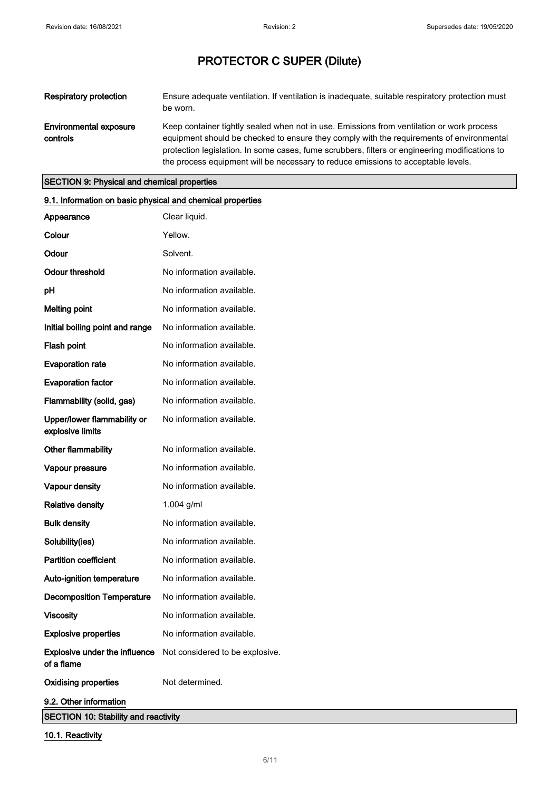| Respiratory protection             | Ensure adequate ventilation. If ventilation is inadequate, suitable respiratory protection must<br>be worn.                                                                           |
|------------------------------------|---------------------------------------------------------------------------------------------------------------------------------------------------------------------------------------|
| Environmental exposure<br>controls | Keep container tightly sealed when not in use. Emissions from ventilation or work process<br>equipment should be checked to ensure they comply with the requirements of environmental |
|                                    | protection legislation. In some cases, fume scrubbers, filters or engineering modifications to<br>the process equipment will be necessary to reduce emissions to acceptable levels.   |

### SECTION 9: Physical and chemical properties

| 9.1. Information on basic physical and chemical properties |                                 |
|------------------------------------------------------------|---------------------------------|
| Appearance                                                 | Clear liquid.                   |
| Colour                                                     | Yellow.                         |
| Odour                                                      | Solvent.                        |
| <b>Odour threshold</b>                                     | No information available.       |
| pH                                                         | No information available.       |
| <b>Melting point</b>                                       | No information available.       |
| Initial boiling point and range                            | No information available.       |
| Flash point                                                | No information available.       |
| <b>Evaporation rate</b>                                    | No information available.       |
| <b>Evaporation factor</b>                                  | No information available.       |
| Flammability (solid, gas)                                  | No information available.       |
| Upper/lower flammability or<br>explosive limits            | No information available.       |
| Other flammability                                         | No information available.       |
| Vapour pressure                                            | No information available.       |
| Vapour density                                             | No information available.       |
| <b>Relative density</b>                                    | 1.004 g/ml                      |
| <b>Bulk density</b>                                        | No information available.       |
| Solubility(ies)                                            | No information available.       |
| <b>Partition coefficient</b>                               | No information available.       |
| Auto-ignition temperature                                  | No information available.       |
| <b>Decomposition Temperature</b>                           | No information available.       |
| <b>Viscosity</b>                                           | No information available.       |
| <b>Explosive properties</b>                                | No information available.       |
| Explosive under the influence<br>of a flame                | Not considered to be explosive. |
| <b>Oxidising properties</b>                                | Not determined.                 |
| 9.2. Other information                                     |                                 |
| <b>SECTION 10: Stability and reactivity</b>                |                                 |

10.1. Reactivity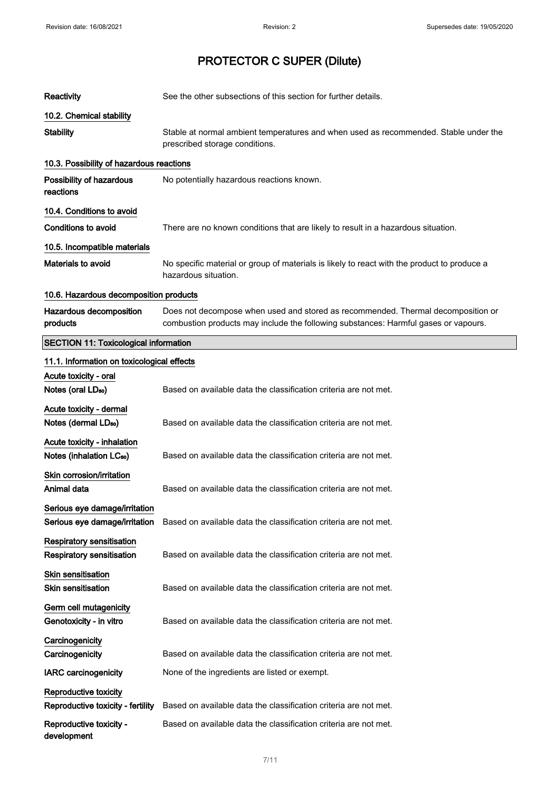| Reactivity                                                          | See the other subsections of this section for further details.                                                                                                          |
|---------------------------------------------------------------------|-------------------------------------------------------------------------------------------------------------------------------------------------------------------------|
| 10.2. Chemical stability                                            |                                                                                                                                                                         |
| <b>Stability</b>                                                    | Stable at normal ambient temperatures and when used as recommended. Stable under the<br>prescribed storage conditions.                                                  |
| 10.3. Possibility of hazardous reactions                            |                                                                                                                                                                         |
| Possibility of hazardous<br>reactions                               | No potentially hazardous reactions known.                                                                                                                               |
| 10.4. Conditions to avoid                                           |                                                                                                                                                                         |
| Conditions to avoid                                                 | There are no known conditions that are likely to result in a hazardous situation.                                                                                       |
| 10.5. Incompatible materials                                        |                                                                                                                                                                         |
| <b>Materials to avoid</b>                                           | No specific material or group of materials is likely to react with the product to produce a<br>hazardous situation.                                                     |
| 10.6. Hazardous decomposition products                              |                                                                                                                                                                         |
| Hazardous decomposition<br>products                                 | Does not decompose when used and stored as recommended. Thermal decomposition or<br>combustion products may include the following substances: Harmful gases or vapours. |
| <b>SECTION 11: Toxicological information</b>                        |                                                                                                                                                                         |
| 11.1. Information on toxicological effects                          |                                                                                                                                                                         |
| Acute toxicity - oral                                               |                                                                                                                                                                         |
| Notes (oral LD <sub>50</sub> )                                      | Based on available data the classification criteria are not met.                                                                                                        |
| Acute toxicity - dermal                                             |                                                                                                                                                                         |
| Notes (dermal LD <sub>50</sub> )                                    | Based on available data the classification criteria are not met.                                                                                                        |
| Acute toxicity - inhalation<br>Notes (inhalation LC <sub>50</sub> ) | Based on available data the classification criteria are not met.                                                                                                        |
| Skin corrosion/irritation                                           |                                                                                                                                                                         |
| Animal data                                                         | Based on available data the classification criteria are not met.                                                                                                        |
| Serious eye damage/irritation<br>Serious eye damage/irritation      | Based on available data the classification criteria are not met.                                                                                                        |
| Respiratory sensitisation                                           |                                                                                                                                                                         |
| <b>Respiratory sensitisation</b>                                    | Based on available data the classification criteria are not met.                                                                                                        |
| Skin sensitisation                                                  |                                                                                                                                                                         |
| <b>Skin sensitisation</b>                                           | Based on available data the classification criteria are not met.                                                                                                        |
| Germ cell mutagenicity<br>Genotoxicity - in vitro                   | Based on available data the classification criteria are not met.                                                                                                        |
| Carcinogenicity                                                     |                                                                                                                                                                         |
| Carcinogenicity                                                     | Based on available data the classification criteria are not met.                                                                                                        |
| <b>IARC</b> carcinogenicity                                         | None of the ingredients are listed or exempt.                                                                                                                           |
| Reproductive toxicity                                               |                                                                                                                                                                         |
| Reproductive toxicity - fertility                                   | Based on available data the classification criteria are not met.                                                                                                        |
| Reproductive toxicity -<br>development                              | Based on available data the classification criteria are not met.                                                                                                        |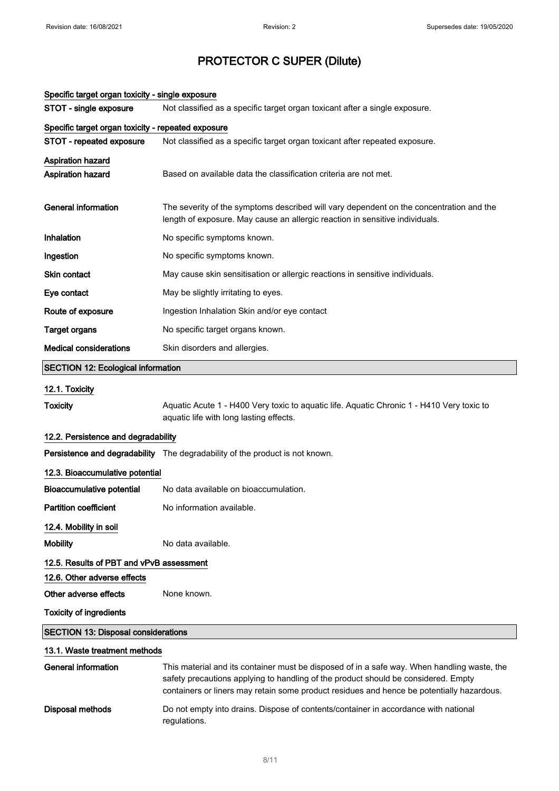| Specific target organ toxicity - single exposure   |                                                                                                                                                                                                                                                                                |  |  |
|----------------------------------------------------|--------------------------------------------------------------------------------------------------------------------------------------------------------------------------------------------------------------------------------------------------------------------------------|--|--|
| STOT - single exposure                             | Not classified as a specific target organ toxicant after a single exposure.                                                                                                                                                                                                    |  |  |
| Specific target organ toxicity - repeated exposure |                                                                                                                                                                                                                                                                                |  |  |
| STOT - repeated exposure                           | Not classified as a specific target organ toxicant after repeated exposure.                                                                                                                                                                                                    |  |  |
| Aspiration hazard                                  |                                                                                                                                                                                                                                                                                |  |  |
| Aspiration hazard                                  | Based on available data the classification criteria are not met.                                                                                                                                                                                                               |  |  |
| <b>General information</b>                         | The severity of the symptoms described will vary dependent on the concentration and the<br>length of exposure. May cause an allergic reaction in sensitive individuals.                                                                                                        |  |  |
| Inhalation                                         | No specific symptoms known.                                                                                                                                                                                                                                                    |  |  |
| Ingestion                                          | No specific symptoms known.                                                                                                                                                                                                                                                    |  |  |
| Skin contact                                       | May cause skin sensitisation or allergic reactions in sensitive individuals.                                                                                                                                                                                                   |  |  |
| Eye contact                                        | May be slightly irritating to eyes.                                                                                                                                                                                                                                            |  |  |
| Route of exposure                                  | Ingestion Inhalation Skin and/or eye contact                                                                                                                                                                                                                                   |  |  |
| <b>Target organs</b>                               | No specific target organs known.                                                                                                                                                                                                                                               |  |  |
| <b>Medical considerations</b>                      | Skin disorders and allergies.                                                                                                                                                                                                                                                  |  |  |
| <b>SECTION 12: Ecological information</b>          |                                                                                                                                                                                                                                                                                |  |  |
| 12.1. Toxicity                                     |                                                                                                                                                                                                                                                                                |  |  |
| <b>Toxicity</b>                                    | Aquatic Acute 1 - H400 Very toxic to aquatic life. Aquatic Chronic 1 - H410 Very toxic to<br>aquatic life with long lasting effects.                                                                                                                                           |  |  |
| 12.2. Persistence and degradability                |                                                                                                                                                                                                                                                                                |  |  |
|                                                    | Persistence and degradability The degradability of the product is not known.                                                                                                                                                                                                   |  |  |
| 12.3. Bioaccumulative potential                    |                                                                                                                                                                                                                                                                                |  |  |
| <b>Bioaccumulative potential</b>                   | No data available on bioaccumulation.                                                                                                                                                                                                                                          |  |  |
| Partition coefficient                              | No information available.                                                                                                                                                                                                                                                      |  |  |
| 12.4. Mobility in soil                             |                                                                                                                                                                                                                                                                                |  |  |
| <b>Mobility</b>                                    | No data available.                                                                                                                                                                                                                                                             |  |  |
| 12.5. Results of PBT and vPvB assessment           |                                                                                                                                                                                                                                                                                |  |  |
| 12.6. Other adverse effects                        |                                                                                                                                                                                                                                                                                |  |  |
| Other adverse effects                              | None known.                                                                                                                                                                                                                                                                    |  |  |
| <b>Toxicity of ingredients</b>                     |                                                                                                                                                                                                                                                                                |  |  |
| <b>SECTION 13: Disposal considerations</b>         |                                                                                                                                                                                                                                                                                |  |  |
| 13.1. Waste treatment methods                      |                                                                                                                                                                                                                                                                                |  |  |
| <b>General information</b>                         | This material and its container must be disposed of in a safe way. When handling waste, the<br>safety precautions applying to handling of the product should be considered. Empty<br>containers or liners may retain some product residues and hence be potentially hazardous. |  |  |
| <b>Disposal methods</b>                            | Do not empty into drains. Dispose of contents/container in accordance with national<br>regulations.                                                                                                                                                                            |  |  |

#### 8/ 11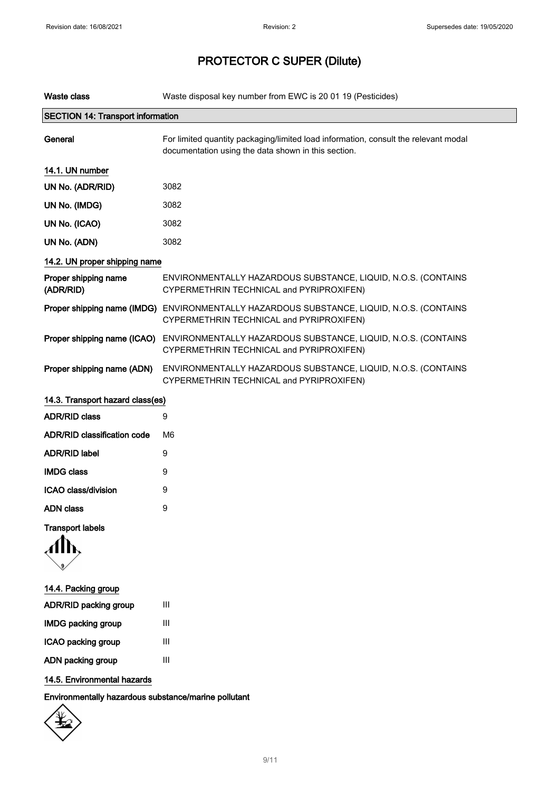| <b>Waste class</b>                       | Waste disposal key number from EWC is 20 01 19 (Pesticides)                                                                                |  |
|------------------------------------------|--------------------------------------------------------------------------------------------------------------------------------------------|--|
| <b>SECTION 14: Transport information</b> |                                                                                                                                            |  |
| General                                  | For limited quantity packaging/limited load information, consult the relevant modal<br>documentation using the data shown in this section. |  |
| 14.1. UN number                          |                                                                                                                                            |  |
| UN No. (ADR/RID)                         | 3082                                                                                                                                       |  |
| UN No. (IMDG)                            | 3082                                                                                                                                       |  |
| UN No. (ICAO)                            | 3082                                                                                                                                       |  |
| UN No. (ADN)                             | 3082                                                                                                                                       |  |
| 14.2. UN proper shipping name            |                                                                                                                                            |  |
| Proper shipping name<br>(ADR/RID)        | ENVIRONMENTALLY HAZARDOUS SUBSTANCE, LIQUID, N.O.S. (CONTAINS<br>CYPERMETHRIN TECHNICAL and PYRIPROXIFEN)                                  |  |
|                                          | Proper shipping name (IMDG) ENVIRONMENTALLY HAZARDOUS SUBSTANCE, LIQUID, N.O.S. (CONTAINS<br>CYPERMETHRIN TECHNICAL and PYRIPROXIFEN)      |  |
| Proper shipping name (ICAO)              | ENVIRONMENTALLY HAZARDOUS SUBSTANCE, LIQUID, N.O.S. (CONTAINS<br>CYPERMETHRIN TECHNICAL and PYRIPROXIFEN)                                  |  |
| Proper shipping name (ADN)               | ENVIRONMENTALLY HAZARDOUS SUBSTANCE, LIQUID, N.O.S. (CONTAINS<br>CYPERMETHRIN TECHNICAL and PYRIPROXIFEN)                                  |  |
| 14.3. Transport hazard class(es)         |                                                                                                                                            |  |
| <b>ADR/RID class</b>                     | 9                                                                                                                                          |  |
| <b>ADR/RID classification code</b>       | M6                                                                                                                                         |  |
| <b>ADR/RID label</b>                     | 9                                                                                                                                          |  |
| <b>IMDG class</b>                        | 9                                                                                                                                          |  |
| ICAO class/division                      | 9                                                                                                                                          |  |
| <b>ADN</b> class                         | 9                                                                                                                                          |  |
| <b>Transport labels</b>                  |                                                                                                                                            |  |
|                                          |                                                                                                                                            |  |
| 14.4. Packing group                      |                                                                                                                                            |  |
| ADR/RID packing group                    | $\mathbf{III}$                                                                                                                             |  |
| <b>IMDG packing group</b>                | $\mathbf{III}$                                                                                                                             |  |
| ICAO packing group                       | Ш                                                                                                                                          |  |
| ADN packing group                        | $\ensuremath{\mathsf{III}}\xspace$                                                                                                         |  |

14.5. Environmental hazards

Environmentally hazardous substance/marine pollutant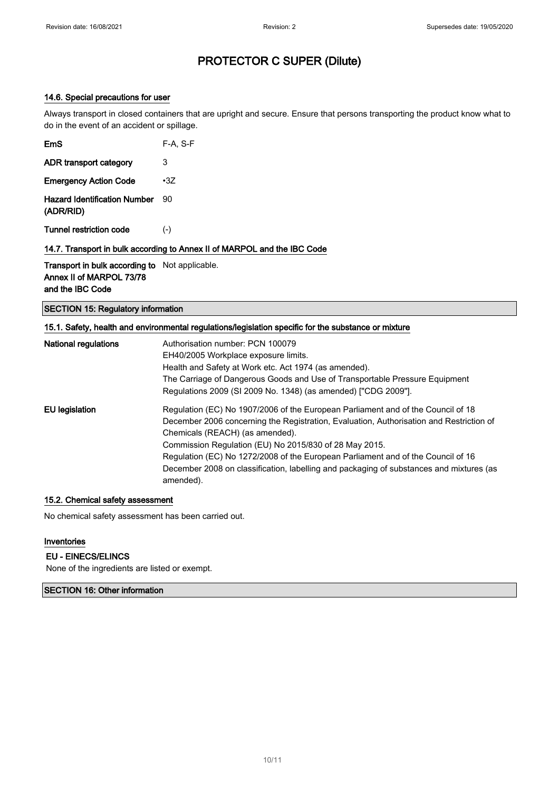### 14.6. Special precautions for user

Always transport in closed containers that are upright and secure. Ensure that persons transporting the product know what to do in the event of an accident or spillage.

| EmS                                              | F-A, S-F   |
|--------------------------------------------------|------------|
| ADR transport category                           | 3          |
| <b>Emergency Action Code</b>                     | $\cdot 37$ |
| <b>Hazard Identification Number</b><br>(ADR/RID) | 90         |
| Tunnel restriction code                          | $(-)$      |

14.7. Transport in bulk according to Annex II of MARPOL and the IBC Code

Transport in bulk according to Not applicable. Annex II of MARPOL 73/78 and the IBC Code

SECTION 15: Regulatory information

#### 15.1. Safety, health and environmental regulations/legislation specific for the substance or mixture

| <b>National regulations</b> | Authorisation number: PCN 100079<br>EH40/2005 Workplace exposure limits.<br>Health and Safety at Work etc. Act 1974 (as amended).<br>The Carriage of Dangerous Goods and Use of Transportable Pressure Equipment<br>Regulations 2009 (SI 2009 No. 1348) (as amended) ["CDG 2009"]. |
|-----------------------------|------------------------------------------------------------------------------------------------------------------------------------------------------------------------------------------------------------------------------------------------------------------------------------|
| EU legislation              | Regulation (EC) No 1907/2006 of the European Parliament and of the Council of 18<br>December 2006 concerning the Registration, Evaluation, Authorisation and Restriction of<br>Chemicals (REACH) (as amended).                                                                     |
|                             | Commission Regulation (EU) No 2015/830 of 28 May 2015.<br>Regulation (EC) No 1272/2008 of the European Parliament and of the Council of 16<br>December 2008 on classification, labelling and packaging of substances and mixtures (as<br>amended).                                 |

#### 15.2. Chemical safety assessment

No chemical safety assessment has been carried out.

#### Inventories

#### EU - EINECS/ELINCS

None of the ingredients are listed or exempt.

#### SECTION 16: Other information